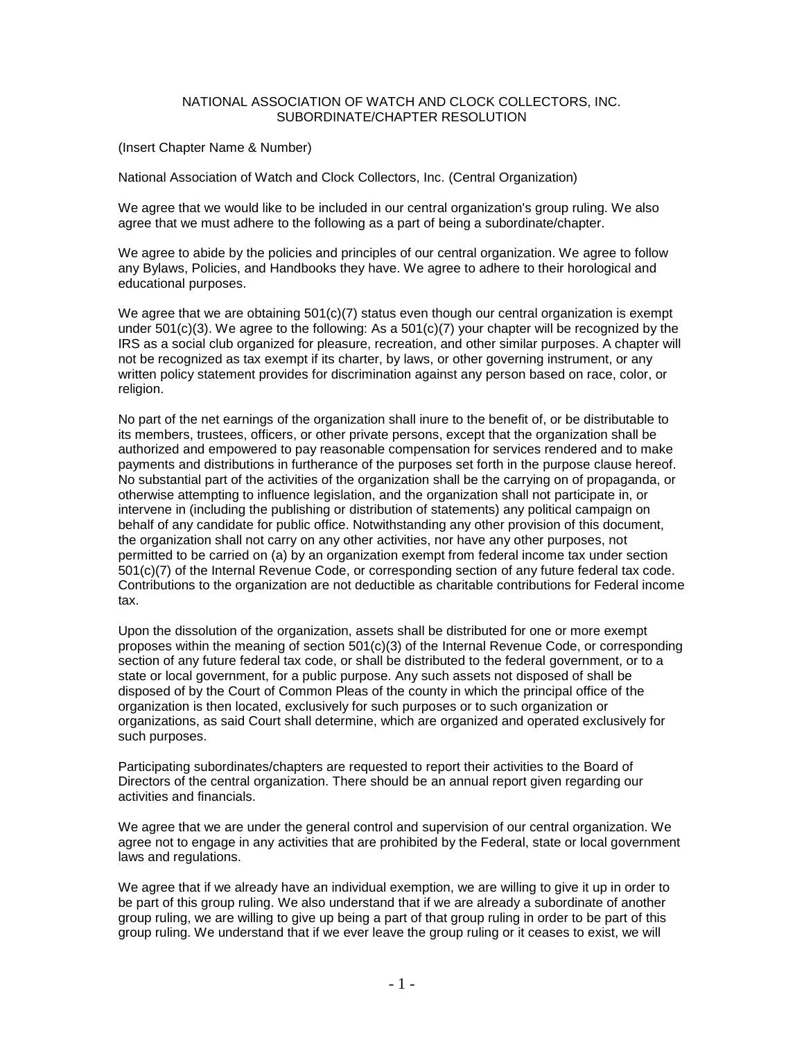## NATIONAL ASSOCIATION OF WATCH AND CLOCK COLLECTORS, INC. SUBORDINATE/CHAPTER RESOLUTION

## (Insert Chapter Name & Number)

National Association of Watch and Clock Collectors, Inc. (Central Organization)

We agree that we would like to be included in our central organization's group ruling. We also agree that we must adhere to the following as a part of being a subordinate/chapter.

We agree to abide by the policies and principles of our central organization. We agree to follow any Bylaws, Policies, and Handbooks they have. We agree to adhere to their horological and educational purposes.

We agree that we are obtaining  $501(c)(7)$  status even though our central organization is exempt under 501(c)(3). We agree to the following: As a  $501(c)(7)$  your chapter will be recognized by the IRS as a social club organized for pleasure, recreation, and other similar purposes. A chapter will not be recognized as tax exempt if its charter, by laws, or other governing instrument, or any written policy statement provides for discrimination against any person based on race, color, or religion.

No part of the net earnings of the organization shall inure to the benefit of, or be distributable to its members, trustees, officers, or other private persons, except that the organization shall be authorized and empowered to pay reasonable compensation for services rendered and to make payments and distributions in furtherance of the purposes set forth in the purpose clause hereof. No substantial part of the activities of the organization shall be the carrying on of propaganda, or otherwise attempting to influence legislation, and the organization shall not participate in, or intervene in (including the publishing or distribution of statements) any political campaign on behalf of any candidate for public office. Notwithstanding any other provision of this document, the organization shall not carry on any other activities, nor have any other purposes, not permitted to be carried on (a) by an organization exempt from federal income tax under section 501(c)(7) of the Internal Revenue Code, or corresponding section of any future federal tax code. Contributions to the organization are not deductible as charitable contributions for Federal income tax.

Upon the dissolution of the organization, assets shall be distributed for one or more exempt proposes within the meaning of section 501(c)(3) of the Internal Revenue Code, or corresponding section of any future federal tax code, or shall be distributed to the federal government, or to a state or local government, for a public purpose. Any such assets not disposed of shall be disposed of by the Court of Common Pleas of the county in which the principal office of the organization is then located, exclusively for such purposes or to such organization or organizations, as said Court shall determine, which are organized and operated exclusively for such purposes.

Participating subordinates/chapters are requested to report their activities to the Board of Directors of the central organization. There should be an annual report given regarding our activities and financials.

We agree that we are under the general control and supervision of our central organization. We agree not to engage in any activities that are prohibited by the Federal, state or local government laws and regulations.

We agree that if we already have an individual exemption, we are willing to give it up in order to be part of this group ruling. We also understand that if we are already a subordinate of another group ruling, we are willing to give up being a part of that group ruling in order to be part of this group ruling. We understand that if we ever leave the group ruling or it ceases to exist, we will